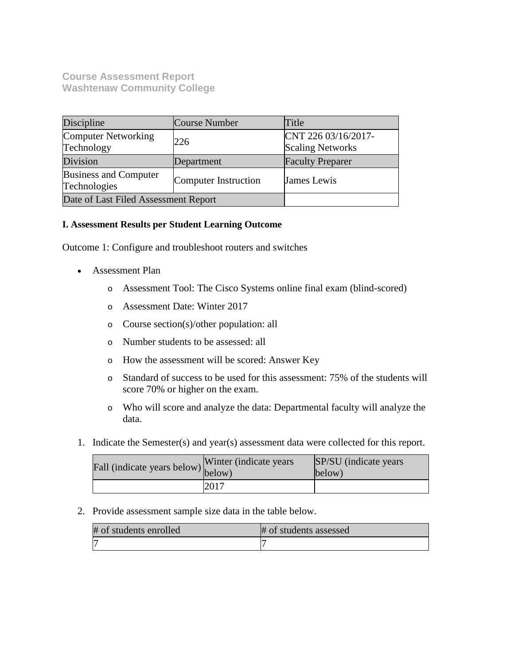**Course Assessment Report Washtenaw Community College**

| Discipline                                   | <b>Course Number</b> | Title                                          |
|----------------------------------------------|----------------------|------------------------------------------------|
| Computer Networking<br>Technology            | 226                  | CNT 226 03/16/2017-<br><b>Scaling Networks</b> |
| Division                                     | Department           | <b>Faculty Preparer</b>                        |
| <b>Business and Computer</b><br>Technologies | Computer Instruction | <b>James Lewis</b>                             |
| Date of Last Filed Assessment Report         |                      |                                                |

# **I. Assessment Results per Student Learning Outcome**

Outcome 1: Configure and troubleshoot routers and switches

- Assessment Plan
	- o Assessment Tool: The Cisco Systems online final exam (blind-scored)
	- o Assessment Date: Winter 2017
	- o Course section(s)/other population: all
	- o Number students to be assessed: all
	- o How the assessment will be scored: Answer Key
	- o Standard of success to be used for this assessment: 75% of the students will score 70% or higher on the exam.
	- o Who will score and analyze the data: Departmental faculty will analyze the data.
- 1. Indicate the Semester(s) and year(s) assessment data were collected for this report.

| Fall (indicate years below) $\begin{bmatrix} \text{w}\text{inter} \\ \text{below} \end{bmatrix}$ | Winter (indicate years) | SP/SU (indicate years)<br>below) |
|--------------------------------------------------------------------------------------------------|-------------------------|----------------------------------|
|                                                                                                  | 2017                    |                                  |

2. Provide assessment sample size data in the table below.

| # of students enrolled | # of students assessed |
|------------------------|------------------------|
|                        |                        |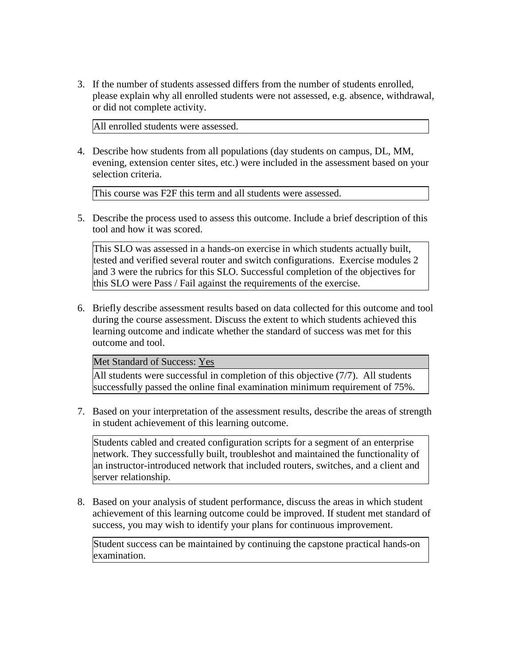3. If the number of students assessed differs from the number of students enrolled, please explain why all enrolled students were not assessed, e.g. absence, withdrawal, or did not complete activity.

All enrolled students were assessed.

4. Describe how students from all populations (day students on campus, DL, MM, evening, extension center sites, etc.) were included in the assessment based on your selection criteria.

This course was F2F this term and all students were assessed.

5. Describe the process used to assess this outcome. Include a brief description of this tool and how it was scored.

This SLO was assessed in a hands-on exercise in which students actually built, tested and verified several router and switch configurations. Exercise modules 2 and 3 were the rubrics for this SLO. Successful completion of the objectives for this SLO were Pass / Fail against the requirements of the exercise.

6. Briefly describe assessment results based on data collected for this outcome and tool during the course assessment. Discuss the extent to which students achieved this learning outcome and indicate whether the standard of success was met for this outcome and tool.

Met Standard of Success: Yes

All students were successful in completion of this objective (7/7). All students successfully passed the online final examination minimum requirement of 75%.

7. Based on your interpretation of the assessment results, describe the areas of strength in student achievement of this learning outcome.

Students cabled and created configuration scripts for a segment of an enterprise network. They successfully built, troubleshot and maintained the functionality of an instructor-introduced network that included routers, switches, and a client and server relationship.

8. Based on your analysis of student performance, discuss the areas in which student achievement of this learning outcome could be improved. If student met standard of success, you may wish to identify your plans for continuous improvement.

Student success can be maintained by continuing the capstone practical hands-on examination.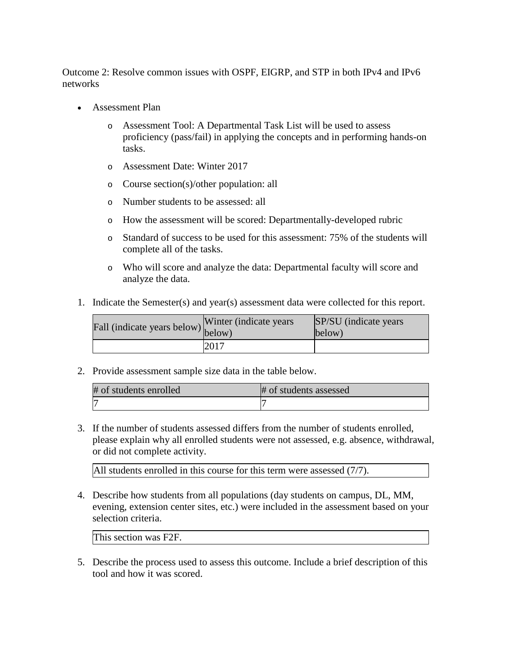Outcome 2: Resolve common issues with OSPF, EIGRP, and STP in both IPv4 and IPv6 networks

- Assessment Plan
	- o Assessment Tool: A Departmental Task List will be used to assess proficiency (pass/fail) in applying the concepts and in performing hands-on tasks.
	- o Assessment Date: Winter 2017
	- o Course section(s)/other population: all
	- o Number students to be assessed: all
	- o How the assessment will be scored: Departmentally-developed rubric
	- o Standard of success to be used for this assessment: 75% of the students will complete all of the tasks.
	- o Who will score and analyze the data: Departmental faculty will score and analyze the data.
- 1. Indicate the Semester(s) and year(s) assessment data were collected for this report.

| Fall (indicate years below) below) | Winter (indicate years) | SP/SU (indicate years)<br>below) |
|------------------------------------|-------------------------|----------------------------------|
|                                    | 2017                    |                                  |

2. Provide assessment sample size data in the table below.

| # of students enrolled | # of students assessed |
|------------------------|------------------------|
| h                      |                        |

3. If the number of students assessed differs from the number of students enrolled, please explain why all enrolled students were not assessed, e.g. absence, withdrawal, or did not complete activity.

All students enrolled in this course for this term were assessed (7/7).

4. Describe how students from all populations (day students on campus, DL, MM, evening, extension center sites, etc.) were included in the assessment based on your selection criteria.

This section was F2F.

5. Describe the process used to assess this outcome. Include a brief description of this tool and how it was scored.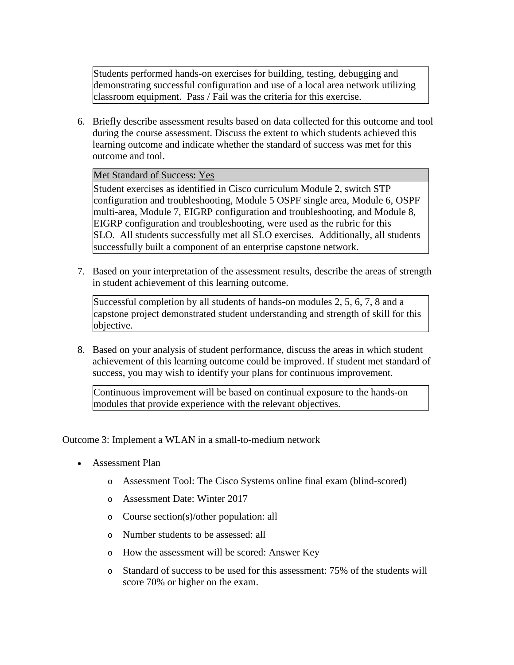Students performed hands-on exercises for building, testing, debugging and demonstrating successful configuration and use of a local area network utilizing classroom equipment. Pass / Fail was the criteria for this exercise.

6. Briefly describe assessment results based on data collected for this outcome and tool during the course assessment. Discuss the extent to which students achieved this learning outcome and indicate whether the standard of success was met for this outcome and tool.

# Met Standard of Success: Yes

Student exercises as identified in Cisco curriculum Module 2, switch STP configuration and troubleshooting, Module 5 OSPF single area, Module 6, OSPF multi-area, Module 7, EIGRP configuration and troubleshooting, and Module 8, EIGRP configuration and troubleshooting, were used as the rubric for this SLO. All students successfully met all SLO exercises. Additionally, all students successfully built a component of an enterprise capstone network.

7. Based on your interpretation of the assessment results, describe the areas of strength in student achievement of this learning outcome.

Successful completion by all students of hands-on modules 2, 5, 6, 7, 8 and a capstone project demonstrated student understanding and strength of skill for this objective.

8. Based on your analysis of student performance, discuss the areas in which student achievement of this learning outcome could be improved. If student met standard of success, you may wish to identify your plans for continuous improvement.

Continuous improvement will be based on continual exposure to the hands-on modules that provide experience with the relevant objectives.

Outcome 3: Implement a WLAN in a small-to-medium network

- Assessment Plan
	- o Assessment Tool: The Cisco Systems online final exam (blind-scored)
	- o Assessment Date: Winter 2017
	- o Course section(s)/other population: all
	- o Number students to be assessed: all
	- o How the assessment will be scored: Answer Key
	- o Standard of success to be used for this assessment: 75% of the students will score 70% or higher on the exam.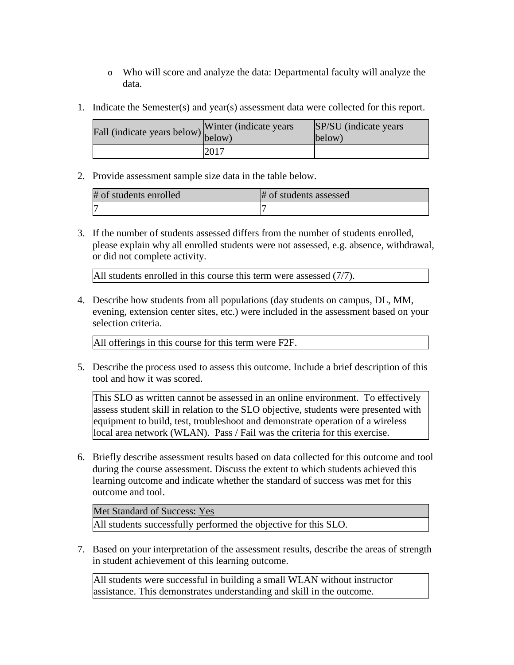- o Who will score and analyze the data: Departmental faculty will analyze the data.
- 1. Indicate the Semester(s) and year(s) assessment data were collected for this report.

| Fall (indicate years below) $\begin{bmatrix} w \text{ finite} \\ \text{below} \end{bmatrix}$ | Winter (indicate years) | SP/SU (indicate years)<br>below) |
|----------------------------------------------------------------------------------------------|-------------------------|----------------------------------|
|                                                                                              | 2017                    |                                  |

2. Provide assessment sample size data in the table below.

| # of students enrolled | # of students assessed |
|------------------------|------------------------|
|                        |                        |

3. If the number of students assessed differs from the number of students enrolled, please explain why all enrolled students were not assessed, e.g. absence, withdrawal, or did not complete activity.

All students enrolled in this course this term were assessed (7/7).

4. Describe how students from all populations (day students on campus, DL, MM, evening, extension center sites, etc.) were included in the assessment based on your selection criteria.

All offerings in this course for this term were F2F.

5. Describe the process used to assess this outcome. Include a brief description of this tool and how it was scored.

This SLO as written cannot be assessed in an online environment. To effectively assess student skill in relation to the SLO objective, students were presented with equipment to build, test, troubleshoot and demonstrate operation of a wireless local area network (WLAN). Pass / Fail was the criteria for this exercise.

6. Briefly describe assessment results based on data collected for this outcome and tool during the course assessment. Discuss the extent to which students achieved this learning outcome and indicate whether the standard of success was met for this outcome and tool.

Met Standard of Success: Yes

All students successfully performed the objective for this SLO.

7. Based on your interpretation of the assessment results, describe the areas of strength in student achievement of this learning outcome.

All students were successful in building a small WLAN without instructor assistance. This demonstrates understanding and skill in the outcome.